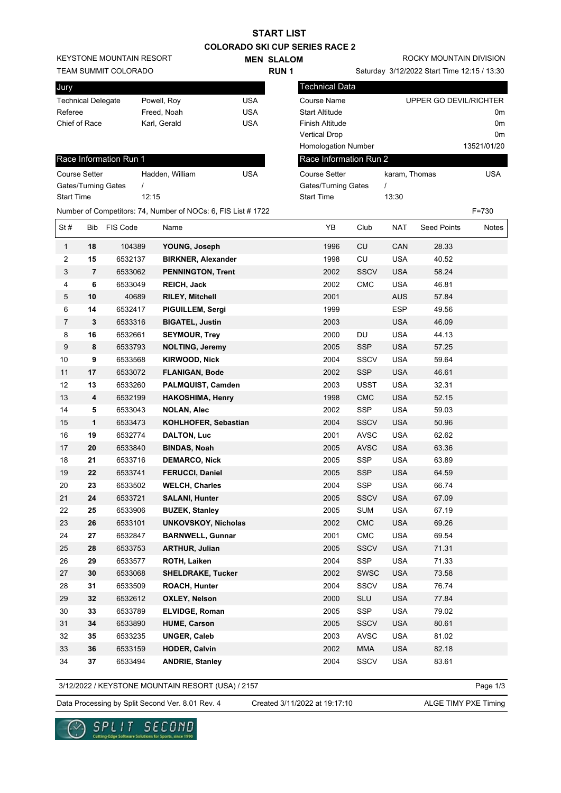|                   |                           |                                 |                                                               |            | START LIST        |                                       |             |               |                                             |                |
|-------------------|---------------------------|---------------------------------|---------------------------------------------------------------|------------|-------------------|---------------------------------------|-------------|---------------|---------------------------------------------|----------------|
|                   |                           |                                 |                                                               |            |                   | <b>COLORADO SKI CUP SERIES RACE 2</b> |             |               |                                             |                |
|                   |                           | <b>KEYSTONE MOUNTAIN RESORT</b> |                                                               |            | <b>MEN SLALOM</b> |                                       |             |               | ROCKY MOUNTAIN DIVISION                     |                |
|                   |                           | <b>TEAM SUMMIT COLORADO</b>     |                                                               |            | <b>RUN1</b>       |                                       |             |               | Saturday 3/12/2022 Start Time 12:15 / 13:30 |                |
| Jury              |                           |                                 |                                                               |            |                   | <b>Technical Data</b>                 |             |               |                                             |                |
|                   | <b>Technical Delegate</b> |                                 | Powell, Roy                                                   | <b>USA</b> |                   | <b>Course Name</b>                    |             |               | UPPER GO DEVIL/RICHTER                      |                |
| Referee           |                           |                                 | Freed, Noah                                                   | <b>USA</b> |                   | <b>Start Altitude</b>                 |             |               |                                             | 0m             |
|                   | Chief of Race             |                                 | Karl, Gerald                                                  | <b>USA</b> |                   | <b>Finish Altitude</b>                |             |               |                                             | 0 <sub>m</sub> |
|                   |                           |                                 |                                                               |            |                   | <b>Vertical Drop</b>                  |             |               |                                             | 0m             |
|                   |                           |                                 |                                                               |            |                   | <b>Homologation Number</b>            |             |               |                                             | 13521/01/20    |
|                   |                           | Race Information Run 1          |                                                               |            |                   | Race Information Run 2                |             |               |                                             |                |
|                   | <b>Course Setter</b>      |                                 | Hadden, William                                               | <b>USA</b> |                   | <b>Course Setter</b>                  |             | karam, Thomas |                                             | <b>USA</b>     |
|                   |                           | Gates/Turning Gates             | $\prime$                                                      |            |                   | Gates/Turning Gates                   |             | $\prime$      |                                             |                |
| <b>Start Time</b> |                           |                                 | 12:15                                                         |            |                   | <b>Start Time</b>                     |             | 13:30         |                                             |                |
|                   |                           |                                 | Number of Competitors: 74, Number of NOCs: 6, FIS List # 1722 |            |                   |                                       |             |               |                                             | $F = 730$      |
| St#               | <b>Bib</b>                | FIS Code                        | Name                                                          |            |                   | YΒ                                    | Club        | <b>NAT</b>    | <b>Seed Points</b>                          | Notes          |
| $\mathbf{1}$      | 18                        | 104389                          | YOUNG, Joseph                                                 |            |                   | 1996                                  | CU          | CAN           | 28.33                                       |                |
| 2                 | 15                        | 6532137                         | <b>BIRKNER, Alexander</b>                                     |            |                   | 1998                                  | CU          | <b>USA</b>    | 40.52                                       |                |
| 3                 | 7                         | 6533062                         | <b>PENNINGTON, Trent</b>                                      |            |                   | 2002                                  | <b>SSCV</b> | <b>USA</b>    | 58.24                                       |                |
| 4                 | 6                         | 6533049                         | <b>REICH, Jack</b>                                            |            |                   | 2002                                  | CMC         | <b>USA</b>    | 46.81                                       |                |
| 5                 | 10                        | 40689                           | <b>RILEY, Mitchell</b>                                        |            |                   | 2001                                  |             | <b>AUS</b>    | 57.84                                       |                |
| 6                 | 14                        | 6532417                         | PIGUILLEM, Sergi                                              |            |                   | 1999                                  |             | <b>ESP</b>    | 49.56                                       |                |
| 7                 | 3                         | 6533316                         | <b>BIGATEL, Justin</b>                                        |            |                   | 2003                                  |             | <b>USA</b>    | 46.09                                       |                |
| 8                 | 16                        | 6532661                         | <b>SEYMOUR, Trey</b>                                          |            |                   | 2000                                  | DU          | <b>USA</b>    | 44.13                                       |                |
| 9                 | 8                         | 6533793                         | <b>NOLTING, Jeremy</b>                                        |            |                   | 2005                                  | <b>SSP</b>  | <b>USA</b>    | 57.25                                       |                |
| 10                | 9                         | 6533568                         | <b>KIRWOOD, Nick</b>                                          |            |                   | 2004                                  | <b>SSCV</b> | <b>USA</b>    | 59.64                                       |                |
| 11                | 17                        | 6533072                         | <b>FLANIGAN, Bode</b>                                         |            |                   | 2002                                  | <b>SSP</b>  | <b>USA</b>    | 46.61                                       |                |
| 12                | 13                        | 6533260                         | PALMQUIST, Camden                                             |            |                   | 2003                                  | USST        | <b>USA</b>    | 32.31                                       |                |
| 13                | 4                         | 6532199                         | <b>HAKOSHIMA, Henry</b>                                       |            |                   | 1998                                  | <b>CMC</b>  | <b>USA</b>    | 52.15                                       |                |
| 14                | 5                         | 6533043                         | <b>NOLAN, Alec</b>                                            |            |                   | 2002                                  | <b>SSP</b>  | <b>USA</b>    | 59.03                                       |                |
| 15                | 1                         | 6533473                         | KOHLHOFER, Sebastian                                          |            |                   | 2004                                  | <b>SSCV</b> | <b>USA</b>    | 50.96                                       |                |
| 16                | 19                        | 6532774                         | <b>DALTON, Luc</b>                                            |            |                   | 2001                                  | <b>AVSC</b> | <b>USA</b>    | 62.62                                       |                |
| 17                | 20                        | 6533840                         | <b>BINDAS, Noah</b>                                           |            |                   | 2005                                  | <b>AVSC</b> | <b>USA</b>    | 63.36                                       |                |
| 18                | 21                        | 6533716                         | <b>DEMARCO, Nick</b>                                          |            |                   | 2005                                  | <b>SSP</b>  | <b>USA</b>    | 63.89                                       |                |
| 19                | ${\bf 22}$                | 6533741                         | <b>FERUCCI, Daniel</b>                                        |            |                   | 2005                                  | <b>SSP</b>  | <b>USA</b>    | 64.59                                       |                |
| 20                | 23                        | 6533502                         | <b>WELCH, Charles</b>                                         |            |                   | 2004                                  | SSP         | <b>USA</b>    | 66.74                                       |                |
| 21                | 24                        | 6533721                         | <b>SALANI, Hunter</b>                                         |            |                   | 2005                                  | <b>SSCV</b> | <b>USA</b>    | 67.09                                       |                |
| 22                | 25                        | 6533906                         | <b>BUZEK, Stanley</b>                                         |            |                   | 2005                                  | <b>SUM</b>  | <b>USA</b>    | 67.19                                       |                |
| 23                | 26                        | 6533101                         | <b>UNKOVSKOY, Nicholas</b>                                    |            |                   | 2002                                  | CMC         | <b>USA</b>    | 69.26                                       |                |
| 24                | 27                        | 6532847                         | <b>BARNWELL, Gunnar</b>                                       |            |                   | 2001                                  | CMC         | <b>USA</b>    | 69.54                                       |                |
| 25                | 28                        | 6533753                         | <b>ARTHUR, Julian</b>                                         |            |                   | 2005                                  | <b>SSCV</b> | <b>USA</b>    | 71.31                                       |                |
| 26                | 29                        | 6533577                         | ROTH, Laiken                                                  |            |                   | 2004                                  | SSP         | <b>USA</b>    | 71.33                                       |                |
| 27                | 30                        | 6533068                         | <b>SHELDRAKE, Tucker</b>                                      |            |                   | 2002                                  | <b>SWSC</b> | <b>USA</b>    | 73.58                                       |                |
| 28                | 31                        | 6533509                         | ROACH, Hunter                                                 |            |                   | 2004                                  | <b>SSCV</b> | <b>USA</b>    | 76.74                                       |                |
| 29                | 32                        | 6532612                         | <b>OXLEY, Nelson</b>                                          |            |                   | 2000                                  | <b>SLU</b>  | <b>USA</b>    | 77.84                                       |                |
| 30                | 33                        | 6533789                         | ELVIDGE, Roman                                                |            |                   | 2005                                  | <b>SSP</b>  | <b>USA</b>    | 79.02                                       |                |
| 31                | 34                        | 6533890                         | <b>HUME, Carson</b>                                           |            |                   | 2005                                  | <b>SSCV</b> | <b>USA</b>    | 80.61                                       |                |
| 32                | 35                        | 6533235                         | <b>UNGER, Caleb</b>                                           |            |                   | 2003                                  | <b>AVSC</b> | <b>USA</b>    | 81.02                                       |                |
| 33                | 36                        | 6533159                         | <b>HODER, Calvin</b>                                          |            |                   | 2002                                  | <b>MMA</b>  | <b>USA</b>    | 82.18                                       |                |
|                   |                           |                                 |                                                               |            |                   |                                       |             |               |                                             |                |

3/12/2022 / KEYSTONE MOUNTAIN RESORT (USA) / 2157

Data Processing by Split Second Ver. 8.01 Rev. 4 Created 3/11/2022 at 19:17:10 ALGE TIMY PXE Timing

Created 3/11/2022 at 19:17:10

34 **37** 6533494 **ANDRIE, Stanley** 2004 SSCV USA 83.61

Page 1/3

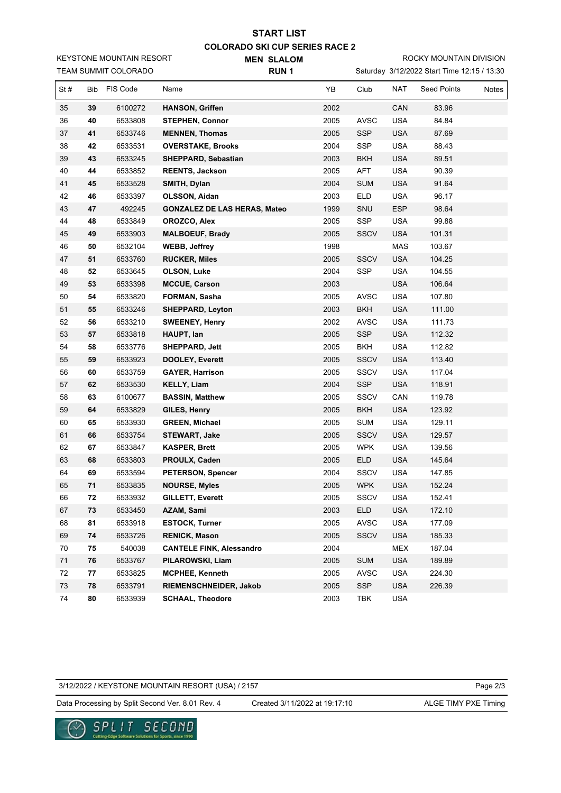## **COLORADO SKI CUP SERIES RACE 2 MEN SLALOM START LIST**

KEYSTONE MOUNTAIN RESORT

TEAM SUMMIT COLORADO

**RUN 1**

ROCKY MOUNTAIN DIVISION

Saturday 3/12/2022 Start Time 12:15 / 13:30

| St# | Bib | FIS Code | Name                                | YB   | Club        | NAT        | Seed Points | Notes |
|-----|-----|----------|-------------------------------------|------|-------------|------------|-------------|-------|
| 35  | 39  | 6100272  | <b>HANSON, Griffen</b>              | 2002 |             | CAN        | 83.96       |       |
| 36  | 40  | 6533808  | <b>STEPHEN, Connor</b>              | 2005 | <b>AVSC</b> | <b>USA</b> | 84.84       |       |
| 37  | 41  | 6533746  | <b>MENNEN, Thomas</b>               | 2005 | <b>SSP</b>  | <b>USA</b> | 87.69       |       |
| 38  | 42  | 6533531  | <b>OVERSTAKE, Brooks</b>            | 2004 | SSP         | <b>USA</b> | 88.43       |       |
| 39  | 43  | 6533245  | SHEPPARD, Sebastian                 | 2003 | BKH         | <b>USA</b> | 89.51       |       |
| 40  | 44  | 6533852  | <b>REENTS, Jackson</b>              | 2005 | AFT         | <b>USA</b> | 90.39       |       |
| 41  | 45  | 6533528  | SMITH, Dylan                        | 2004 | <b>SUM</b>  | <b>USA</b> | 91.64       |       |
| 42  | 46  | 6533397  | OLSSON, Aidan                       | 2003 | <b>ELD</b>  | USA        | 96.17       |       |
| 43  | 47  | 492245   | <b>GONZALEZ DE LAS HERAS, Mateo</b> | 1999 | SNU         | <b>ESP</b> | 98.64       |       |
| 44  | 48  | 6533849  | OROZCO, Alex                        | 2005 | SSP         | <b>USA</b> | 99.88       |       |
| 45  | 49  | 6533903  | <b>MALBOEUF, Brady</b>              | 2005 | <b>SSCV</b> | <b>USA</b> | 101.31      |       |
| 46  | 50  | 6532104  | <b>WEBB, Jeffrey</b>                | 1998 |             | MAS        | 103.67      |       |
| 47  | 51  | 6533760  | <b>RUCKER, Miles</b>                | 2005 | SSCV        | <b>USA</b> | 104.25      |       |
| 48  | 52  | 6533645  | OLSON, Luke                         | 2004 | SSP         | <b>USA</b> | 104.55      |       |
| 49  | 53  | 6533398  | <b>MCCUE, Carson</b>                | 2003 |             | <b>USA</b> | 106.64      |       |
| 50  | 54  | 6533820  | FORMAN, Sasha                       | 2005 | <b>AVSC</b> | <b>USA</b> | 107.80      |       |
| 51  | 55  | 6533246  | <b>SHEPPARD, Leyton</b>             | 2003 | <b>BKH</b>  | <b>USA</b> | 111.00      |       |
| 52  | 56  | 6533210  | <b>SWEENEY, Henry</b>               | 2002 | <b>AVSC</b> | USA        | 111.73      |       |
| 53  | 57  | 6533818  | HAUPT, lan                          | 2005 | <b>SSP</b>  | <b>USA</b> | 112.32      |       |
| 54  | 58  | 6533776  | SHEPPARD, Jett                      | 2005 | <b>BKH</b>  | <b>USA</b> | 112.82      |       |
| 55  | 59  | 6533923  | <b>DOOLEY, Everett</b>              | 2005 | <b>SSCV</b> | <b>USA</b> | 113.40      |       |
| 56  | 60  | 6533759  | <b>GAYER, Harrison</b>              | 2005 | SSCV        | <b>USA</b> | 117.04      |       |
| 57  | 62  | 6533530  | <b>KELLY, Liam</b>                  | 2004 | <b>SSP</b>  | <b>USA</b> | 118.91      |       |
| 58  | 63  | 6100677  | <b>BASSIN, Matthew</b>              | 2005 | SSCV        | CAN        | 119.78      |       |
| 59  | 64  | 6533829  | GILES, Henry                        | 2005 | <b>BKH</b>  | <b>USA</b> | 123.92      |       |
| 60  | 65  | 6533930  | <b>GREEN, Michael</b>               | 2005 | <b>SUM</b>  | <b>USA</b> | 129.11      |       |
| 61  | 66  | 6533754  | <b>STEWART, Jake</b>                | 2005 | <b>SSCV</b> | <b>USA</b> | 129.57      |       |
| 62  | 67  | 6533847  | <b>KASPER, Brett</b>                | 2005 | <b>WPK</b>  | USA        | 139.56      |       |
| 63  | 68  | 6533803  | PROULX, Caden                       | 2005 | <b>ELD</b>  | <b>USA</b> | 145.64      |       |
| 64  | 69  | 6533594  | PETERSON, Spencer                   | 2004 | <b>SSCV</b> | <b>USA</b> | 147.85      |       |
| 65  | 71  | 6533835  | <b>NOURSE, Myles</b>                | 2005 | <b>WPK</b>  | <b>USA</b> | 152.24      |       |
| 66  | 72  | 6533932  | <b>GILLETT, Everett</b>             | 2005 | SSCV        | USA        | 152.41      |       |
| 67  | 73  | 6533450  | AZAM, Sami                          | 2003 | ELD         | <b>USA</b> | 172.10      |       |
| 68  | 81  | 6533918  | <b>ESTOCK, Turner</b>               | 2005 | AVSC        | <b>USA</b> | 177.09      |       |
| 69  | 74  | 6533726  | <b>RENICK, Mason</b>                | 2005 | SSCV        | <b>USA</b> | 185.33      |       |
| 70  | 75  | 540038   | <b>CANTELE FINK, Alessandro</b>     | 2004 |             | MEX        | 187.04      |       |
| 71  | 76  | 6533767  | PILAROWSKI, Liam                    | 2005 | <b>SUM</b>  | <b>USA</b> | 189.89      |       |
| 72  | 77  | 6533825  | <b>MCPHEE, Kenneth</b>              | 2005 | <b>AVSC</b> | USA        | 224.30      |       |
| 73  | 78  | 6533791  | RIEMENSCHNEIDER, Jakob              | 2005 | <b>SSP</b>  | <b>USA</b> | 226.39      |       |
| 74  | 80  | 6533939  | <b>SCHAAL, Theodore</b>             | 2003 | TBK         | USA        |             |       |

## 3/12/2022 / KEYSTONE MOUNTAIN RESORT (USA) / 2157

Data Processing by Split Second Ver. 8.01 Rev. 4 Created 3/11/2022 at 19:17:10 ALGE TIMY PXE Timing

Created 3/11/2022 at 19:17:10